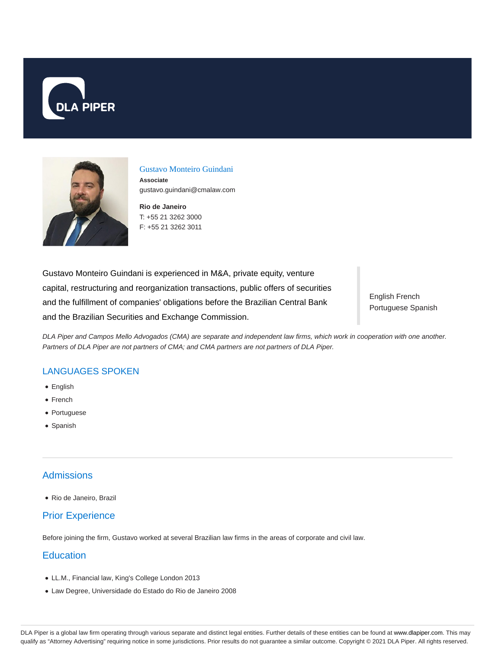



Gustavo Monteiro Guindani

**Associate** gustavo.guindani@cmalaw.com

**Rio de Janeiro** T: +55 21 3262 3000 F: +55 21 3262 3011

Gustavo Monteiro Guindani is experienced in M&A, private equity, venture capital, restructuring and reorganization transactions, public offers of securities and the fulfillment of companies' obligations before the Brazilian Central Bank and the Brazilian Securities and Exchange Commission.

English French Portuguese Spanish

DLA Piper and Campos Mello Advogados (CMA) are separate and independent law firms, which work in cooperation with one another. Partners of DLA Piper are not partners of CMA; and CMA partners are not partners of DLA Piper.

### LANGUAGES SPOKEN

- English
- French
- Portuguese
- Spanish

## **Admissions**

Rio de Janeiro, Brazil

## Prior Experience

Before joining the firm, Gustavo worked at several Brazilian law firms in the areas of corporate and civil law.

### **Education**

- LL.M., Financial law, King's College London 2013
- Law Degree, Universidade do Estado do Rio de Janeiro 2008

DLA Piper is a global law firm operating through various separate and distinct legal entities. Further details of these entities can be found at www.dlapiper.com. This may qualify as "Attorney Advertising" requiring notice in some jurisdictions. Prior results do not guarantee a similar outcome. Copyright © 2021 DLA Piper. All rights reserved.